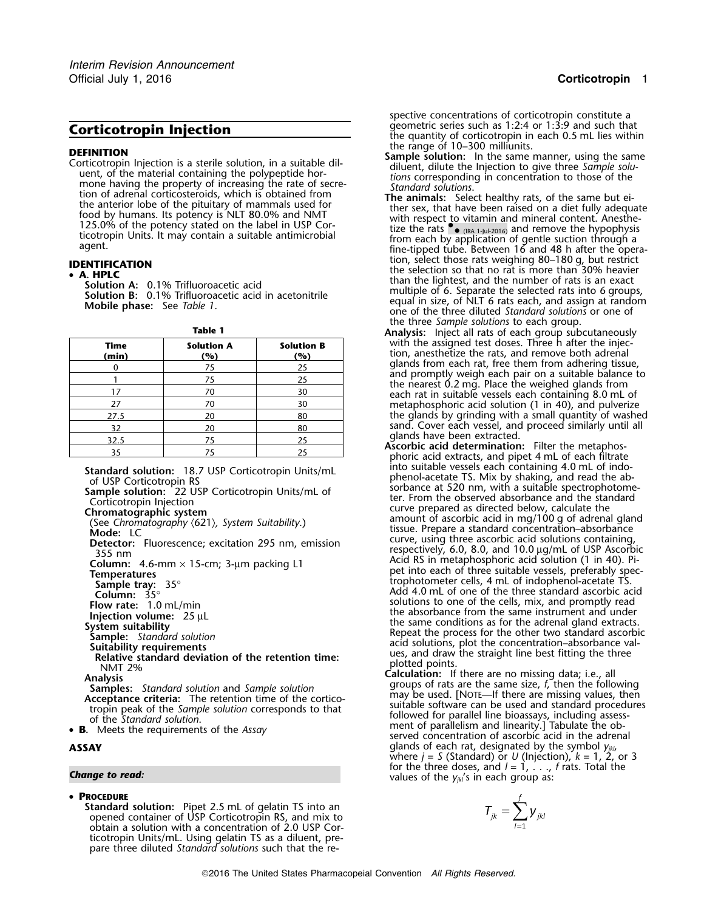**DEFINITION**<br>
Corticotropin Injection is a sterile solution, in a suitable dil-<br>
uent, of the material containing the polypeptide hor-<br>
uent, of the material containing the polypeptide hor-<br>
mone having the property of inc

| Time<br>(min) | <b>Solution A</b><br>(%) | <b>Solution B</b><br>(%) |
|---------------|--------------------------|--------------------------|
|               | 75                       | 25                       |
|               | 75                       | 25                       |
| 17            | 70                       | 30                       |
| 27            | 70                       | 30                       |
| 27.5          | 20                       | 80                       |
| 32            | 20                       | 80                       |
| 32.5          | 75                       | 25                       |
| 35            | 75                       | 25                       |

## • **PROCEDURE**

**Standard solution:** Pipet 2.5 mL of gelatin TS into an opened container of USP Corticotropin RS, and mix to obtain a solution with a concentration of 2.0 USP Corticotropin Units/mL. Using gelatin TS as a diluent, prepare three diluted *Standard solutions* such that the re-

spective concentrations of corticotropin constitute a geometric series such as 1:2:4 or 1:3:9 and such that **Corticotropin Injection**<br>the quantity of corticotropin in each 0.5 mL lies within

- 
- with respect to vitamin and mineral content. Anesthetize the rats  $\bullet$  ( $\overline{\text{RA 1-}1/41-2016}}$ ) and remove the hypophysis from each by application of gentle suction through a (IRC 1-Jul-2016) and remove the hypophysis ticotropic time-tipped tube. Between 16 and 48 h after the opera-<br>
ion, select those rats weighing 80–180 g, but restrict tion, select those rats weighing 80–180 g, but restrict<br>**A. HPLC** the selection so that no rat is more than 30% heavier<br>**Examples 19%** Trifluorographic acid than the lightest, and the number of rats is an exact **Solution A:** 0.1% Trifluoroacetic acid<br>**Solution B:** 0.1% Trifluoroacetic acid in acetonitrile multiple of 6. Separate the selected rats in to 6 groups **MOBILION B:** U.1% HILLONG COMPTERS ACTO THE CONDUCT STATE of NET 6 rats each, and assign at random Mobile phase: See *Table 1*. one of the three diluted *Standard solutions* or one of the three *Sample solutions* to each group. **Table 1 Analysis:** Inject all rats of each group subcutaneously
	- with the assigned test doses. Three h after the injection, anesthetize the rats, and remove both adrenal glands from each rat, free them from adhering tissue, and promptly weigh each pair on a suitable balance to<br>the nearest 0.2 mg. Place the weighed glands from<br>each rat in suitable vessels each containing 8.0 mL of metaphosphoric acid solution (1 in 40), and pulverize the glands by grinding with a small quantity of washed sand. Cover each vessel, and proceed similarly until all glands have been extracted.
	- Ascorbic acid determination: Filter the metaphos-<br>phoric acid extracts, and pipet 4 mL of each filtrate<br>into suitable vessels each containing 4.0 mL of indo-Standard solution: 18.7 USP Corticotropin Units/mL<br>
	of USP Corticotropin RS<br>
	Sample solution: 22 USP Corticotropin Units/mL<br>
	Sample solution: 22 USP Corticotropin Units/mL of<br>
	Corticotropin Injection<br>
	Corticotropin Injecti See Chromatography (621), System Suitability.)<br>Mode: LC<br>**Detector:** Eluorescence: excitation 295 nm emission surve, using three ascorbic acid solutions containing, Detector: Fluorescence; excitation 295 nm, emission<br>
	295 nm, emission<br>
	295 nm, emission<br>
	295 nm, explicition in the accribic acid solutions containing,<br>
	255 nm<br>
	255 nm<br>
	255 nm<br>
	26 column: 4.6-mm × 15-cm; 3-μm packing L1<br>
- NMT 2%<br>
Analysis<br>
Analysis<br>
Analysis<br>
Analysis<br>
Analysis<br>
Analysis<br>
Analysis<br>
Analysis<br>
Analysis<br>
Analysis<br>
Analysis<br>
Analysis<br>
Analysis<br>
Analysis<br>
Analysis<br>
Analysis<br>
Analysis<br>
Analysis<br>
Analysis<br>
Analysis<br>
Analysis<br>
Anal **B.** Meets the requirements of the *Assay* served concentration of ascorbic acid in the adrenal **B.** Meets the requirements of the *Assay* served concentration of ascorbic acid in the adrenal **ASSAY** glands of each rat, designated by the symbol *yjkl*, where *j* <sup>=</sup>*S* (Standard) or *U* (Injection), *k* = 1, 2, or 3 for the three doses, and  $l = 1, \ldots, f$  rats. Total the **Change to read:**  $\frac{1}{2}$  change to read:  $\frac{1}{2}$  change to read:  $\frac{1}{2}$  change to read:  $\frac{1}{2}$  change is  $\frac{1}{2}$  change in each group as:

$$
T_{jk} = \sum_{l=1}^f \mathbf{y}_{jkl}
$$